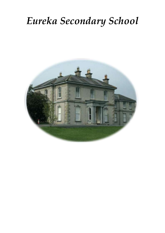# *Eureka Secondary School*

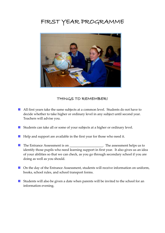# FIRST YEAR PROGRAMME



#### THINGS TO REMEMBER!

- All first years take the same subjects at a common level. Students do not have to decide whether to take higher or ordinary level in any subject until second year. Teachers will advise you.
- **Students can take all or some of your subjects at a higher or ordinary level.**
- $\blacksquare$  Help and support are available in the first year for those who need it.
- The Entrance Assessment is on \_\_\_\_\_\_\_\_\_\_\_\_\_\_\_\_\_\_\_\_. The assessment helps us to identify those pupils who need learning support in first year. It also gives us an idea of your abilities so that we can check, as you go through secondary school if you are doing as well as you should.
- **D** On the day of the Entrance Assessment, students will receive information on uniform, books, school rules, and school transport forms.
- **E** Students will also be given a date when parents will be invited to the school for an information evening.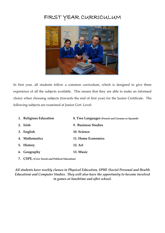## FIRST YEAR CURRICULUM



In first year, all students follow a common curriculum, which is designed to give them experience of all the subjects available. This means that they are able to make an informed choice when choosing subjects (towards the end of first year) for the Junior Certificate. The following subjects are examined at Junior Cert. Level:

| 1. Religious Education | 8. Two Languages (French and German or Spanish) |
|------------------------|-------------------------------------------------|
| 2. Irish               | 9. Business Studies                             |
| 3. English             | 10. Science                                     |
| 4. Mathematics         | 11. Home Economics                              |
| 5. History             | 12. Art                                         |
| 6. Geography           | 13. Music                                       |
|                        |                                                 |

**7. CSPE, (Civic Social and Political Education)**

*All students have weekly classes in Physical Education, SPHE (Social Personal and Health Education) and Computer Studies. They will also have the opportunity to become involved in games at lunchtime and after school.*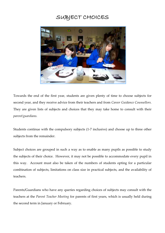## SUBJECT CHOICES



Towards the end of the first year, students are given plenty of time to choose subjects for second year, and they receive advice from their teachers and from *Career Guidance Counsellors.*  They are given lists of subjects and choices that they may take home to consult with their *parent/guardians.*

Students continue with the compulsory subjects (1-7 inclusive) and choose up to three other subjects from the remainder.

Subject choices are grouped in such a way as to enable as many pupils as possible to study the subjects of their choice. However, it may not be possible to accommodate every pupil in this way. Account must also be taken of the numbers of students opting for a particular combination of subjects, limitations on class size in practical subjects, and the availability of teachers.

Parents/Guardians who have any queries regarding choices of subjects may consult with the teachers at the *Parent Teacher Meeting* for parents of first years, which is usually held during the second term in January or February.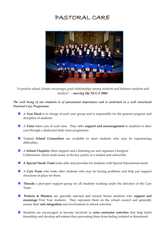### PASTORAL CARE



*"A positive school climate encourages good relationships among students and between students and teachers" – moving Up NCCA 2004*

The well being of our students is of paramount importance and is enshrined in a well structured *Pastoral Care Programme.*

- A **Year Head** is in charge of each year group and is responsible for the general progress and discipline of students.
- A **Tutor** takes care of each class. They offer **support and encouragement** to students in their care through a dedicated daily tutor programme.
- **Trained School Counsellors** are available to meet students who may be experiencing difficulties.
- A **School Chaplain** offers support and a listening ear and organises Liturgical Celebrations which mark many of the key points of a student and school life.
- **A Special Needs Team** looks after and provides for students with Special Educational needs.
- A **Care Team** who looks after students who may be having problems and help put support structures in place for them.
- **Threads** a peer-peer support group for all students working under the direction of the Care Team.
- **Prefects & Mentors** are specially selected and trained Senior students who support and **encourage** First Year students. They represent them on the school council and generally ensure their **safe integration** and involvement in school activities.
- Students are encouraged to become involved in **extra curricular activities** that help build friendship and develop self esteem thus preventing them from feeling isolated or threatened.